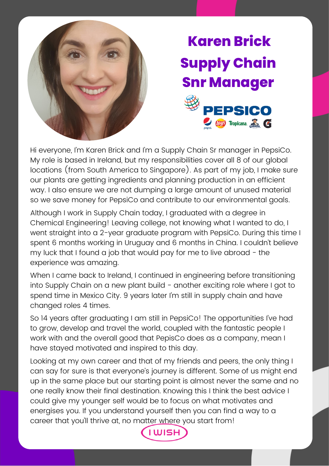

## **Karen Brick Supply Chain Snr Manager PEPSICO EUJS** Tropicana. WARER C

Hi everyone, I'm Karen Brick and I'm a Supply Chain Sr manager in PepsiCo. My role is based in Ireland, but my responsibilities cover all 8 of our global locations (from South America to Singapore). As part of my job, I make sure our plants are getting ingredients and planning production in an efficient way. I also ensure we are not dumping a large amount of unused material so we save money for PepsiCo and contribute to our environmental goals.

Although I work in Supply Chain today, I graduated with a degree in Chemical Engineering! Leaving college, not knowing what I wanted to do, I went straight into a 2-year graduate program with PepsiCo. During this time I spent 6 months working in Uruguay and 6 months in China. I couldn't believe my luck that I found a job that would pay for me to live abroad  $-$  the experience was amazing.

When I came back to Ireland, I continued in engineering before transitioning into Supply Chain on a new plant build - another exciting role where I got to spend time in Mexico City. 9 years later I'm still in supply chain and have changed roles 4 times.

So 14 years after graduating I am still in PepsiCo! The opportunities I've had to grow, develop and travel the world, coupled with the fantastic people I work with and the overall good that PepisCo does as a company, mean I have stayed motivated and inspired to this day.

Looking at my own career and that of my friends and peers, the only thing I can say for sure is that everyone's journey is different. Some of us might end up in the same place but our starting point is almost never the same and no one really know their final destination. Knowing this I think the best advice I could give my younger self would be to focus on what motivates and energises you. If you understand yourself then you can find a way to a career that you'll thrive at, no matter where you start from!

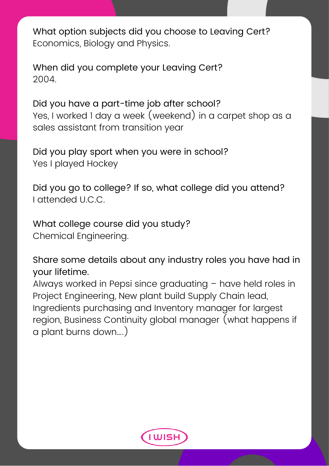What option subjects did you choose to Leaving Cert? Economics, Biology and Physics.

When did you complete your Leaving Cert? 2004.

Did you have a part-time job after school? Yes, I worked 1 day a week (weekend) in a carpet shop as a sales assistant from transition year

Did you play sport when you were in school? Yes I played Hockey

Did you go to college? If so, what college did you attend? I attended U.C.C.

What college course did you study? Chemical Engineering.

Share some details about any industry roles you have had in your lifetime.

Always worked in Pepsi since graduating – have held roles in Project Engineering, New plant build Supply Chain lead, Ingredients purchasing and Inventory manager for largest region, Business Continuity global manager (what happens if a plant burns down….)